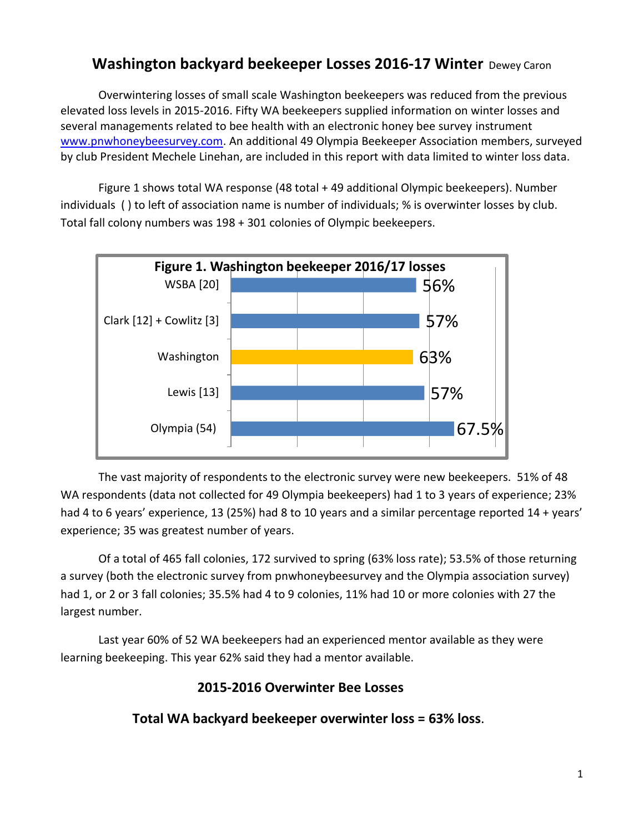# **Washington backyard beekeeper Losses 2016-17 Winter** Dewey Caron

Overwintering losses of small scale Washington beekeepers was reduced from the previous elevated loss levels in 2015-2016. Fifty WA beekeepers supplied information on winter losses and several managements related to bee health with an electronic honey bee survey instrument [www.pnwhoneybeesurvey.com.](http://www.pnwhoneybeesurvey.com/) An additional 49 Olympia Beekeeper Association members, surveyed by club President Mechele Linehan, are included in this report with data limited to winter loss data.

Figure 1 shows total WA response (48 total + 49 additional Olympic beekeepers). Number individuals ( ) to left of association name is number of individuals; % is overwinter losses by club. Total fall colony numbers was 198 + 301 colonies of Olympic beekeepers.



The vast majority of respondents to the electronic survey were new beekeepers. 51% of 48 WA respondents (data not collected for 49 Olympia beekeepers) had 1 to 3 years of experience; 23% had 4 to 6 years' experience, 13 (25%) had 8 to 10 years and a similar percentage reported 14 + years' experience; 35 was greatest number of years.

Of a total of 465 fall colonies, 172 survived to spring (63% loss rate); 53.5% of those returning a survey (both the electronic survey from pnwhoneybeesurvey and the Olympia association survey) had 1, or 2 or 3 fall colonies; 35.5% had 4 to 9 colonies, 11% had 10 or more colonies with 27 the largest number.

Last year 60% of 52 WA beekeepers had an experienced mentor available as they were learning beekeeping. This year 62% said they had a mentor available.

### **2015-2016 Overwinter Bee Losses**

**Total WA backyard beekeeper overwinter loss = 63% loss**.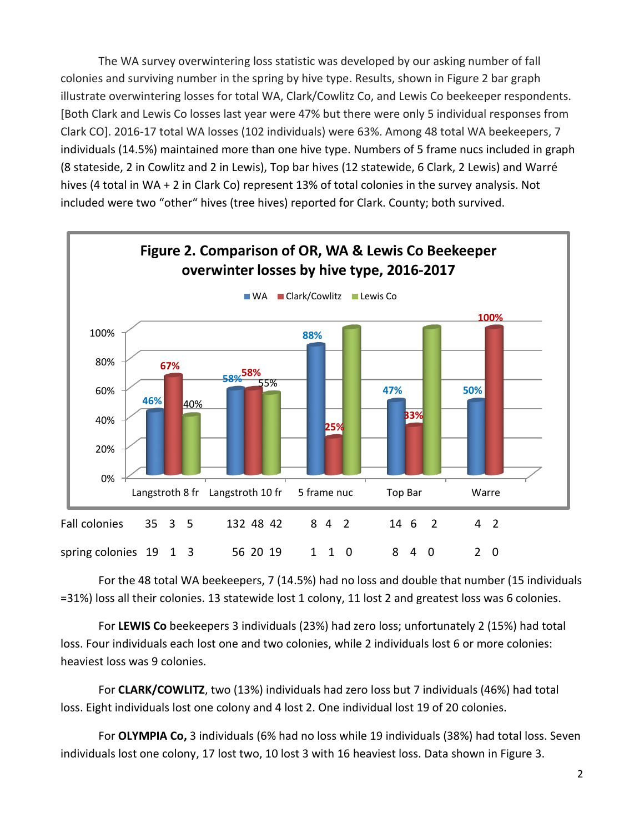The WA survey overwintering loss statistic was developed by our asking number of fall colonies and surviving number in the spring by hive type. Results, shown in Figure 2 bar graph illustrate overwintering losses for total WA, Clark/Cowlitz Co, and Lewis Co beekeeper respondents. [Both Clark and Lewis Co losses last year were 47% but there were only 5 individual responses from Clark CO]. 2016-17 total WA losses (102 individuals) were 63%. Among 48 total WA beekeepers, 7 individuals (14.5%) maintained more than one hive type. Numbers of 5 frame nucs included in graph (8 stateside, 2 in Cowlitz and 2 in Lewis), Top bar hives (12 statewide, 6 Clark, 2 Lewis) and Warré hives (4 total in WA + 2 in Clark Co) represent 13% of total colonies in the survey analysis. Not included were two "other" hives (tree hives) reported for Clark. County; both survived.



For the 48 total WA beekeepers, 7 (14.5%) had no loss and double that number (15 individuals =31%) loss all their colonies. 13 statewide lost 1 colony, 11 lost 2 and greatest loss was 6 colonies.

For **LEWIS Co** beekeepers 3 individuals (23%) had zero loss; unfortunately 2 (15%) had total loss. Four individuals each lost one and two colonies, while 2 individuals lost 6 or more colonies: heaviest loss was 9 colonies.

For **CLARK/COWLITZ**, two (13%) individuals had zero loss but 7 individuals (46%) had total loss. Eight individuals lost one colony and 4 lost 2. One individual lost 19 of 20 colonies.

For **OLYMPIA Co,** 3 individuals (6% had no loss while 19 individuals (38%) had total loss. Seven individuals lost one colony, 17 lost two, 10 lost 3 with 16 heaviest loss. Data shown in Figure 3.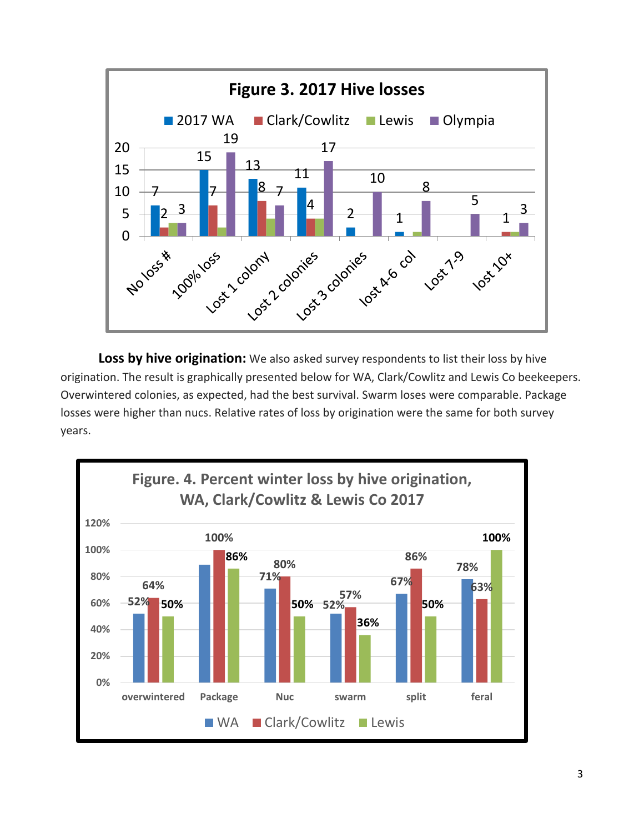

**Loss by hive origination:** We also asked survey respondents to list their loss by hive origination. The result is graphically presented below for WA, Clark/Cowlitz and Lewis Co beekeepers. Overwintered colonies, as expected, had the best survival. Swarm loses were comparable. Package losses were higher than nucs. Relative rates of loss by origination were the same for both survey years.

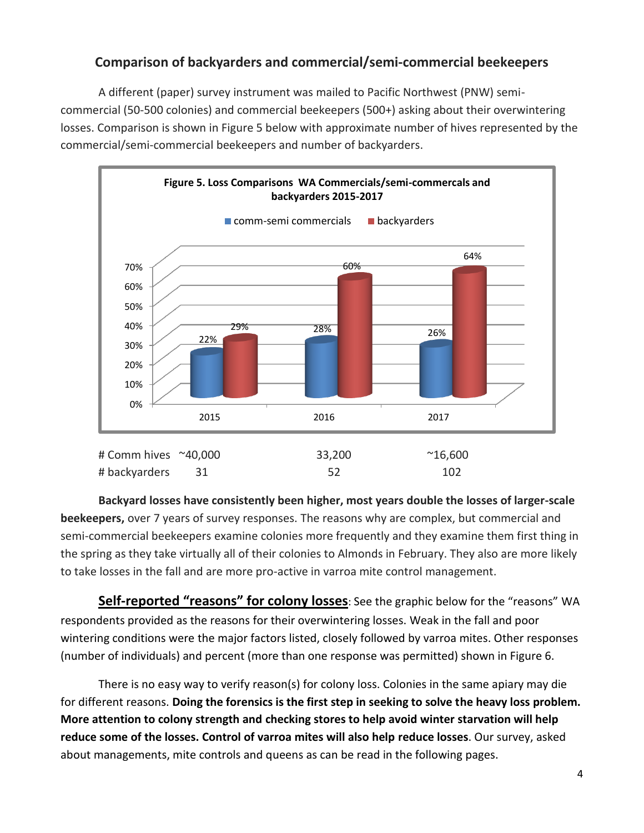## **Comparison of backyarders and commercial/semi-commercial beekeepers**

A different (paper) survey instrument was mailed to Pacific Northwest (PNW) semicommercial (50-500 colonies) and commercial beekeepers (500+) asking about their overwintering losses. Comparison is shown in Figure 5 below with approximate number of hives represented by the commercial/semi-commercial beekeepers and number of backyarders.



**Backyard losses have consistently been higher, most years double the losses of larger-scale beekeepers,** over 7 years of survey responses. The reasons why are complex, but commercial and semi-commercial beekeepers examine colonies more frequently and they examine them first thing in the spring as they take virtually all of their colonies to Almonds in February. They also are more likely to take losses in the fall and are more pro-active in varroa mite control management.

**Self-reported "reasons" for colony losses**: See the graphic below for the "reasons" WA respondents provided as the reasons for their overwintering losses. Weak in the fall and poor wintering conditions were the major factors listed, closely followed by varroa mites. Other responses (number of individuals) and percent (more than one response was permitted) shown in Figure 6.

There is no easy way to verify reason(s) for colony loss. Colonies in the same apiary may die for different reasons. **Doing the forensics is the first step in seeking to solve the heavy loss problem. More attention to colony strength and checking stores to help avoid winter starvation will help reduce some of the losses. Control of varroa mites will also help reduce losses**. Our survey, asked about managements, mite controls and queens as can be read in the following pages.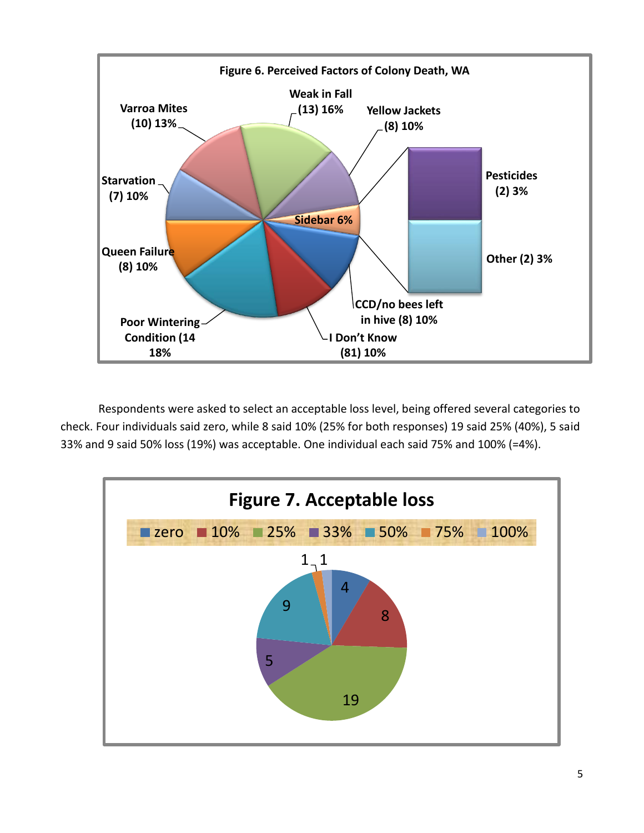

Respondents were asked to select an acceptable loss level, being offered several categories to check. Four individuals said zero, while 8 said 10% (25% for both responses) 19 said 25% (40%), 5 said 33% and 9 said 50% loss (19%) was acceptable. One individual each said 75% and 100% (=4%).

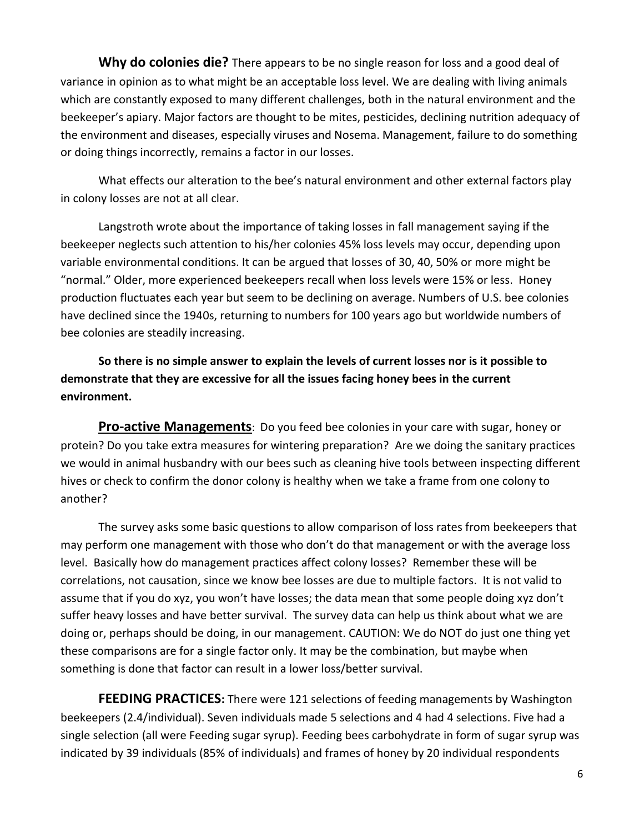**Why do colonies die?** There appears to be no single reason for loss and a good deal of variance in opinion as to what might be an acceptable loss level. We are dealing with living animals which are constantly exposed to many different challenges, both in the natural environment and the beekeeper's apiary. Major factors are thought to be mites, pesticides, declining nutrition adequacy of the environment and diseases, especially viruses and Nosema. Management, failure to do something or doing things incorrectly, remains a factor in our losses.

What effects our alteration to the bee's natural environment and other external factors play in colony losses are not at all clear.

Langstroth wrote about the importance of taking losses in fall management saying if the beekeeper neglects such attention to his/her colonies 45% loss levels may occur, depending upon variable environmental conditions. It can be argued that losses of 30, 40, 50% or more might be "normal." Older, more experienced beekeepers recall when loss levels were 15% or less. Honey production fluctuates each year but seem to be declining on average. Numbers of U.S. bee colonies have declined since the 1940s, returning to numbers for 100 years ago but worldwide numbers of bee colonies are steadily increasing.

**So there is no simple answer to explain the levels of current losses nor is it possible to demonstrate that they are excessive for all the issues facing honey bees in the current environment.** 

**Pro-active Managements**: Do you feed bee colonies in your care with sugar, honey or protein? Do you take extra measures for wintering preparation? Are we doing the sanitary practices we would in animal husbandry with our bees such as cleaning hive tools between inspecting different hives or check to confirm the donor colony is healthy when we take a frame from one colony to another?

The survey asks some basic questions to allow comparison of loss rates from beekeepers that may perform one management with those who don't do that management or with the average loss level. Basically how do management practices affect colony losses? Remember these will be correlations, not causation, since we know bee losses are due to multiple factors. It is not valid to assume that if you do xyz, you won't have losses; the data mean that some people doing xyz don't suffer heavy losses and have better survival. The survey data can help us think about what we are doing or, perhaps should be doing, in our management. CAUTION: We do NOT do just one thing yet these comparisons are for a single factor only. It may be the combination, but maybe when something is done that factor can result in a lower loss/better survival.

**FEEDING PRACTICES:** There were 121 selections of feeding managements by Washington beekeepers (2.4/individual). Seven individuals made 5 selections and 4 had 4 selections. Five had a single selection (all were Feeding sugar syrup). Feeding bees carbohydrate in form of sugar syrup was indicated by 39 individuals (85% of individuals) and frames of honey by 20 individual respondents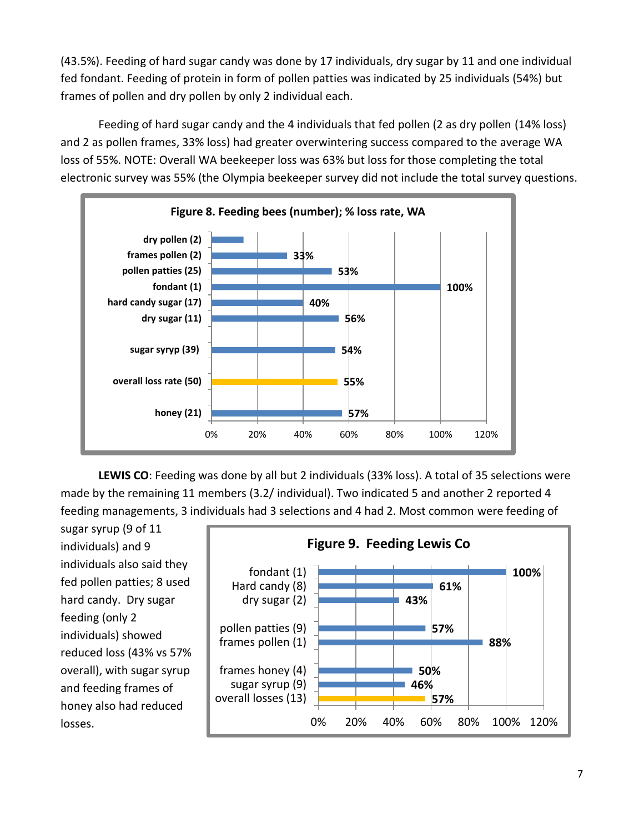(43.5%). Feeding of hard sugar candy was done by 17 individuals, dry sugar by 11 and one individual fed fondant. Feeding of protein in form of pollen patties was indicated by 25 individuals (54%) but frames of pollen and dry pollen by only 2 individual each.

Feeding of hard sugar candy and the 4 individuals that fed pollen (2 as dry pollen (14% loss) and 2 as pollen frames, 33% loss) had greater overwintering success compared to the average WA loss of 55%. NOTE: Overall WA beekeeper loss was 63% but loss for those completing the total electronic survey was 55% (the Olympia beekeeper survey did not include the total survey questions.



**LEWIS CO**: Feeding was done by all but 2 individuals (33% loss). A total of 35 selections were made by the remaining 11 members (3.2/ individual). Two indicated 5 and another 2 reported 4 feeding managements, 3 individuals had 3 selections and 4 had 2. Most common were feeding of

sugar syrup (9 of 11 individuals) and 9 individuals also said they fed pollen patties; 8 used hard candy. Dry sugar feeding (only 2 individuals) showed reduced loss (43% vs 57% overall), with sugar syrup and feeding frames of honey also had reduced losses.

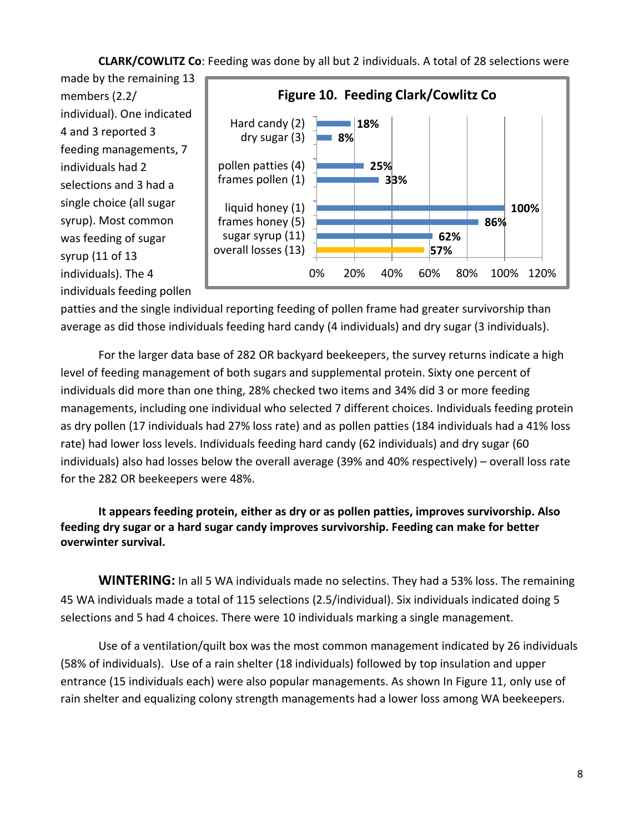#### **CLARK/COWLITZ Co**: Feeding was done by all but 2 individuals. A total of 28 selections were

made by the remaining 13 members (2.2/ individual). One indicated 4 and 3 reported 3 feeding managements, 7 individuals had 2 selections and 3 had a single choice (all sugar syrup). Most common was feeding of sugar syrup (11 of 13 individuals). The 4 individuals feeding pollen



patties and the single individual reporting feeding of pollen frame had greater survivorship than average as did those individuals feeding hard candy (4 individuals) and dry sugar (3 individuals).

For the larger data base of 282 OR backyard beekeepers, the survey returns indicate a high level of feeding management of both sugars and supplemental protein. Sixty one percent of individuals did more than one thing, 28% checked two items and 34% did 3 or more feeding managements, including one individual who selected 7 different choices. Individuals feeding protein as dry pollen (17 individuals had 27% loss rate) and as pollen patties (184 individuals had a 41% loss rate) had lower loss levels. Individuals feeding hard candy (62 individuals) and dry sugar (60 individuals) also had losses below the overall average (39% and 40% respectively) – overall loss rate for the 282 OR beekeepers were 48%.

**It appears feeding protein, either as dry or as pollen patties, improves survivorship. Also feeding dry sugar or a hard sugar candy improves survivorship. Feeding can make for better overwinter survival.**

**WINTERING:** In all 5 WA individuals made no selectins. They had a 53% loss. The remaining 45 WA individuals made a total of 115 selections (2.5/individual). Six individuals indicated doing 5 selections and 5 had 4 choices. There were 10 individuals marking a single management.

Use of a ventilation/quilt box was the most common management indicated by 26 individuals (58% of individuals). Use of a rain shelter (18 individuals) followed by top insulation and upper entrance (15 individuals each) were also popular managements. As shown In Figure 11, only use of rain shelter and equalizing colony strength managements had a lower loss among WA beekeepers.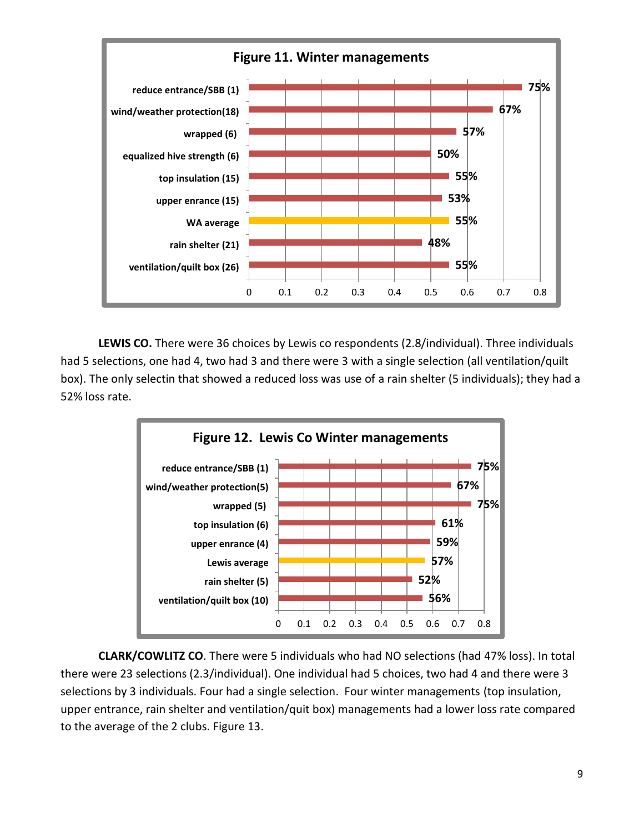

**LEWIS CO.** There were 36 choices by Lewis co respondents (2.8/individual). Three individuals had 5 selections, one had 4, two had 3 and there were 3 with a single selection (all ventilation/quilt box). The only selectin that showed a reduced loss was use of a rain shelter (5 individuals); they had a 52% loss rate.



**CLARK/COWLITZ CO**. There were 5 individuals who had NO selections (had 47% loss). In total there were 23 selections (2.3/individual). One individual had 5 choices, two had 4 and there were 3 selections by 3 individuals. Four had a single selection. Four winter managements (top insulation, upper entrance, rain shelter and ventilation/quit box) managements had a lower loss rate compared to the average of the 2 clubs. Figure 13.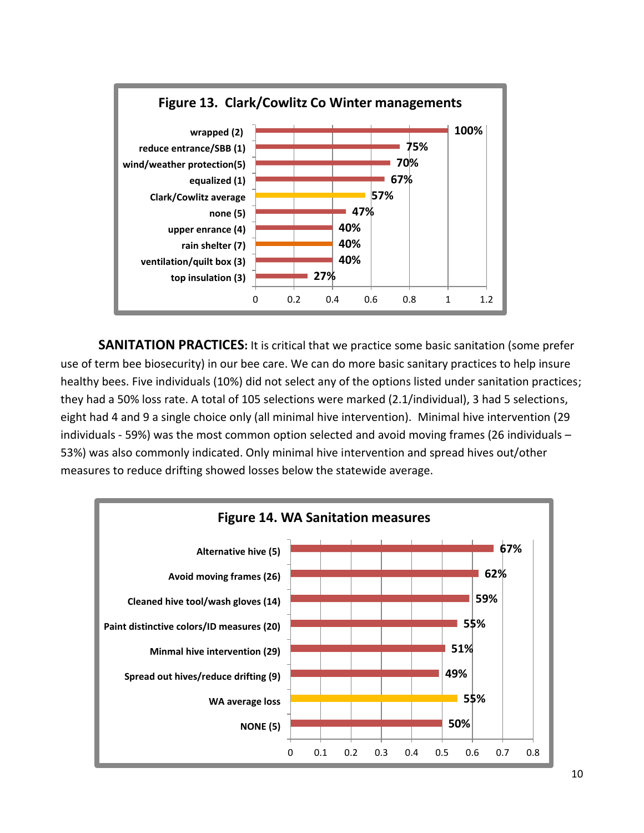

**SANITATION PRACTICES:** It is critical that we practice some basic sanitation (some prefer use of term bee biosecurity) in our bee care. We can do more basic sanitary practices to help insure healthy bees. Five individuals (10%) did not select any of the options listed under sanitation practices; they had a 50% loss rate. A total of 105 selections were marked (2.1/individual), 3 had 5 selections, eight had 4 and 9 a single choice only (all minimal hive intervention). Minimal hive intervention (29 individuals - 59%) was the most common option selected and avoid moving frames (26 individuals – 53%) was also commonly indicated. Only minimal hive intervention and spread hives out/other measures to reduce drifting showed losses below the statewide average.

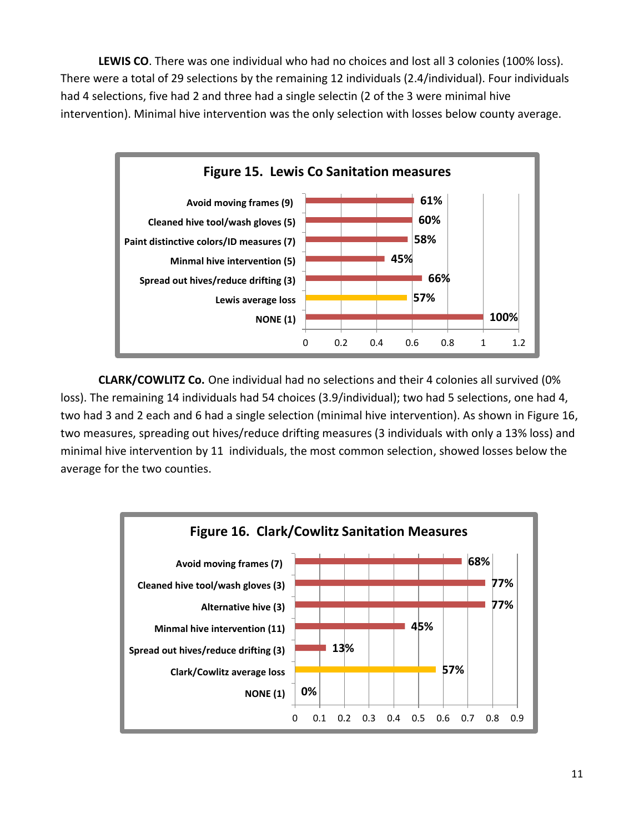**LEWIS CO**. There was one individual who had no choices and lost all 3 colonies (100% loss). There were a total of 29 selections by the remaining 12 individuals (2.4/individual). Four individuals had 4 selections, five had 2 and three had a single selectin (2 of the 3 were minimal hive intervention). Minimal hive intervention was the only selection with losses below county average.



**CLARK/COWLITZ Co.** One individual had no selections and their 4 colonies all survived (0% loss). The remaining 14 individuals had 54 choices (3.9/individual); two had 5 selections, one had 4, two had 3 and 2 each and 6 had a single selection (minimal hive intervention). As shown in Figure 16, two measures, spreading out hives/reduce drifting measures (3 individuals with only a 13% loss) and minimal hive intervention by 11 individuals, the most common selection, showed losses below the average for the two counties.

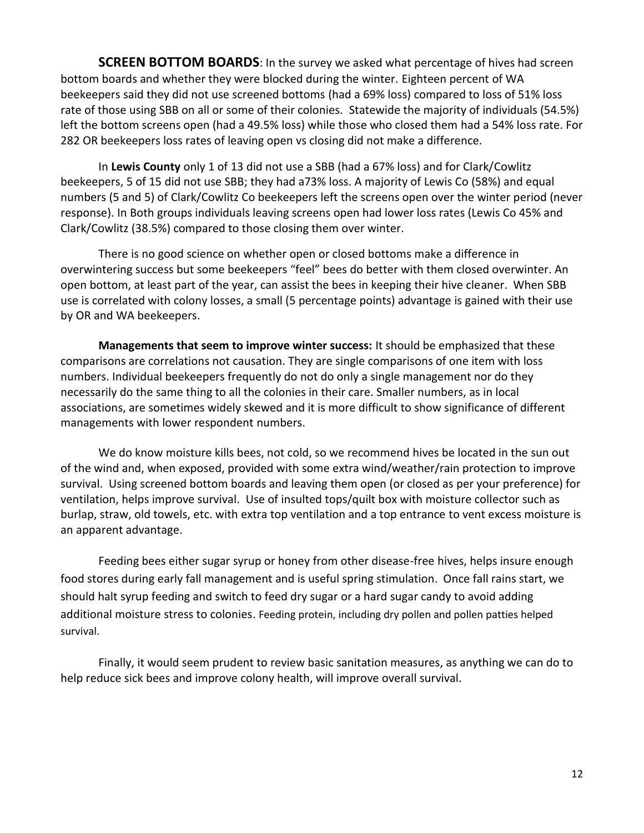**SCREEN BOTTOM BOARDS:** In the survey we asked what percentage of hives had screen bottom boards and whether they were blocked during the winter. Eighteen percent of WA beekeepers said they did not use screened bottoms (had a 69% loss) compared to loss of 51% loss rate of those using SBB on all or some of their colonies. Statewide the majority of individuals (54.5%) left the bottom screens open (had a 49.5% loss) while those who closed them had a 54% loss rate. For 282 OR beekeepers loss rates of leaving open vs closing did not make a difference.

In **Lewis County** only 1 of 13 did not use a SBB (had a 67% loss) and for Clark/Cowlitz beekeepers, 5 of 15 did not use SBB; they had a73% loss. A majority of Lewis Co (58%) and equal numbers (5 and 5) of Clark/Cowlitz Co beekeepers left the screens open over the winter period (never response). In Both groups individuals leaving screens open had lower loss rates (Lewis Co 45% and Clark/Cowlitz (38.5%) compared to those closing them over winter.

There is no good science on whether open or closed bottoms make a difference in overwintering success but some beekeepers "feel" bees do better with them closed overwinter. An open bottom, at least part of the year, can assist the bees in keeping their hive cleaner. When SBB use is correlated with colony losses, a small (5 percentage points) advantage is gained with their use by OR and WA beekeepers.

**Managements that seem to improve winter success:** It should be emphasized that these comparisons are correlations not causation. They are single comparisons of one item with loss numbers. Individual beekeepers frequently do not do only a single management nor do they necessarily do the same thing to all the colonies in their care. Smaller numbers, as in local associations, are sometimes widely skewed and it is more difficult to show significance of different managements with lower respondent numbers.

We do know moisture kills bees, not cold, so we recommend hives be located in the sun out of the wind and, when exposed, provided with some extra wind/weather/rain protection to improve survival. Using screened bottom boards and leaving them open (or closed as per your preference) for ventilation, helps improve survival. Use of insulted tops/quilt box with moisture collector such as burlap, straw, old towels, etc. with extra top ventilation and a top entrance to vent excess moisture is an apparent advantage.

Feeding bees either sugar syrup or honey from other disease-free hives, helps insure enough food stores during early fall management and is useful spring stimulation. Once fall rains start, we should halt syrup feeding and switch to feed dry sugar or a hard sugar candy to avoid adding additional moisture stress to colonies. Feeding protein, including dry pollen and pollen patties helped survival.

Finally, it would seem prudent to review basic sanitation measures, as anything we can do to help reduce sick bees and improve colony health, will improve overall survival.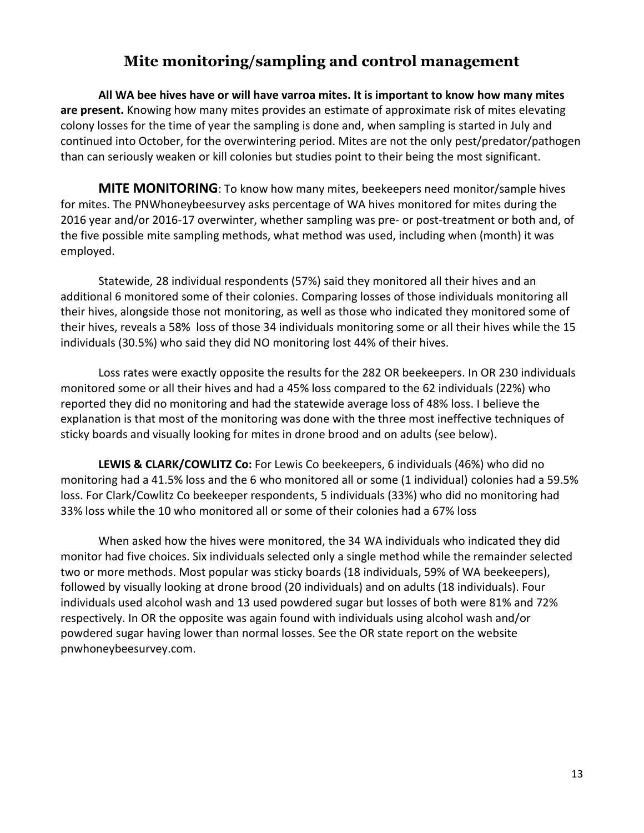## **Mite monitoring/sampling and control management**

**All WA bee hives have or will have varroa mites. It is important to know how many mites are present.** Knowing how many mites provides an estimate of approximate risk of mites elevating colony losses for the time of year the sampling is done and, when sampling is started in July and continued into October, for the overwintering period. Mites are not the only pest/predator/pathogen than can seriously weaken or kill colonies but studies point to their being the most significant.

**MITE MONITORING**: To know how many mites, beekeepers need monitor/sample hives for mites. The PNWhoneybeesurvey asks percentage of WA hives monitored for mites during the 2016 year and/or 2016-17 overwinter, whether sampling was pre- or post-treatment or both and, of the five possible mite sampling methods, what method was used, including when (month) it was employed.

Statewide, 28 individual respondents (57%) said they monitored all their hives and an additional 6 monitored some of their colonies. Comparing losses of those individuals monitoring all their hives, alongside those not monitoring, as well as those who indicated they monitored some of their hives, reveals a 58% loss of those 34 individuals monitoring some or all their hives while the 15 individuals (30.5%) who said they did NO monitoring lost 44% of their hives.

Loss rates were exactly opposite the results for the 282 OR beekeepers. In OR 230 individuals monitored some or all their hives and had a 45% loss compared to the 62 individuals (22%) who reported they did no monitoring and had the statewide average loss of 48% loss. I believe the explanation is that most of the monitoring was done with the three most ineffective techniques of sticky boards and visually looking for mites in drone brood and on adults (see below).

**LEWIS & CLARK/COWLITZ Co:** For Lewis Co beekeepers, 6 individuals (46%) who did no monitoring had a 41.5% loss and the 6 who monitored all or some (1 individual) colonies had a 59.5% loss. For Clark/Cowlitz Co beekeeper respondents, 5 individuals (33%) who did no monitoring had 33% loss while the 10 who monitored all or some of their colonies had a 67% loss

When asked how the hives were monitored, the 34 WA individuals who indicated they did monitor had five choices. Six individuals selected only a single method while the remainder selected two or more methods. Most popular was sticky boards (18 individuals, 59% of WA beekeepers), followed by visually looking at drone brood (20 individuals) and on adults (18 individuals). Four individuals used alcohol wash and 13 used powdered sugar but losses of both were 81% and 72% respectively. In OR the opposite was again found with individuals using alcohol wash and/or powdered sugar having lower than normal losses. See the OR state report on the website pnwhoneybeesurvey.com.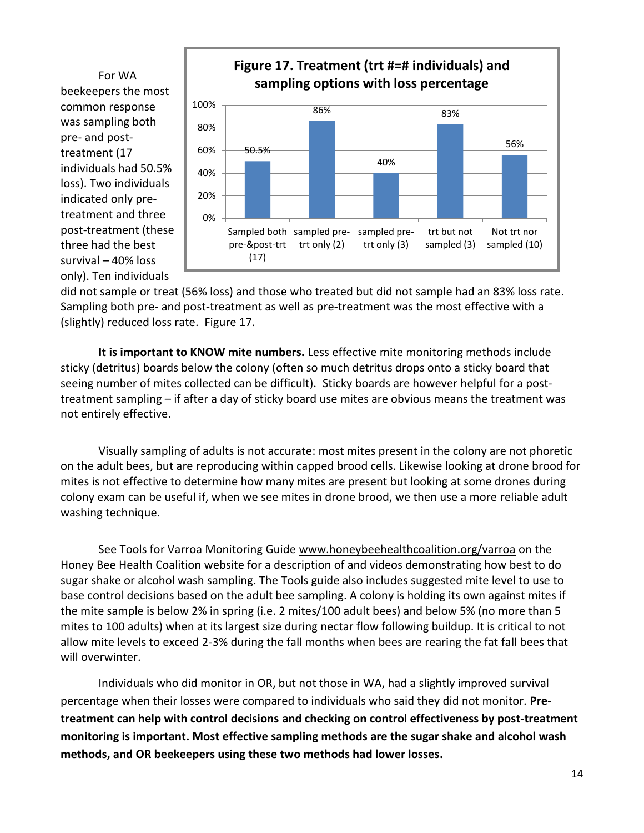beekeepers the most common response was sampling both pre- and posttreatment (17 individuals had 50.5% loss). Two individuals indicated only pretreatment and three post-treatment (these three had the best survival – 40% loss only). Ten individuals



did not sample or treat (56% loss) and those who treated but did not sample had an 83% loss rate. Sampling both pre- and post-treatment as well as pre-treatment was the most effective with a (slightly) reduced loss rate. Figure 17.

**It is important to KNOW mite numbers.** Less effective mite monitoring methods include sticky (detritus) boards below the colony (often so much detritus drops onto a sticky board that seeing number of mites collected can be difficult). Sticky boards are however helpful for a posttreatment sampling – if after a day of sticky board use mites are obvious means the treatment was not entirely effective.

Visually sampling of adults is not accurate: most mites present in the colony are not phoretic on the adult bees, but are reproducing within capped brood cells. Likewise looking at drone brood for mites is not effective to determine how many mites are present but looking at some drones during colony exam can be useful if, when we see mites in drone brood, we then use a more reliable adult washing technique.

See Tools for Varroa Monitoring Guide [www.honeybeehealthcoalition.org/varroa](http://www.honeybeehealthcoalition.org/varroa) on the Honey Bee Health Coalition website for a description of and videos demonstrating how best to do sugar shake or alcohol wash sampling. The Tools guide also includes suggested mite level to use to base control decisions based on the adult bee sampling. A colony is holding its own against mites if the mite sample is below 2% in spring (i.e. 2 mites/100 adult bees) and below 5% (no more than 5 mites to 100 adults) when at its largest size during nectar flow following buildup. It is critical to not allow mite levels to exceed 2-3% during the fall months when bees are rearing the fat fall bees that will overwinter.

Individuals who did monitor in OR, but not those in WA, had a slightly improved survival percentage when their losses were compared to individuals who said they did not monitor. **Pretreatment can help with control decisions and checking on control effectiveness by post-treatment monitoring is important. Most effective sampling methods are the sugar shake and alcohol wash methods, and OR beekeepers using these two methods had lower losses.**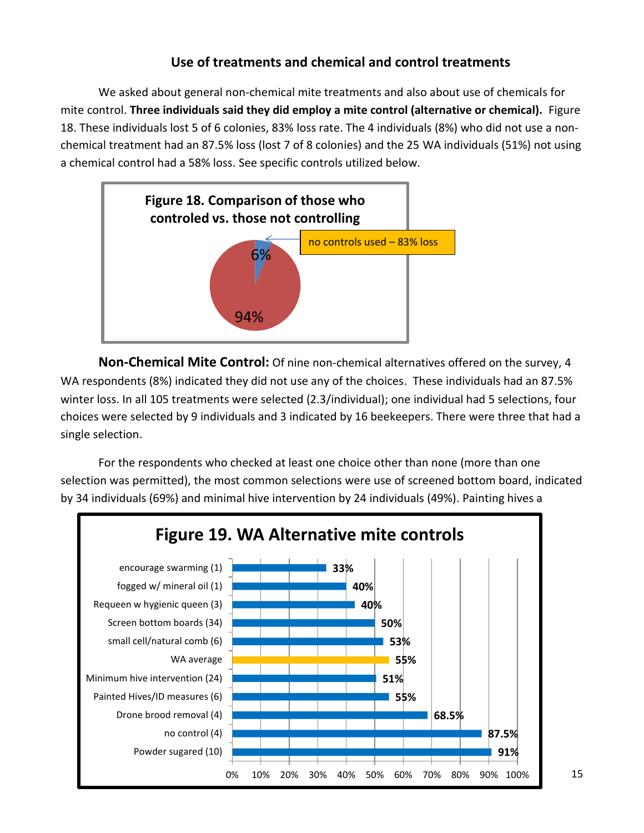## **Use of treatments and chemical and control treatments**

We asked about general non-chemical mite treatments and also about use of chemicals for mite control. **Three individuals said they did employ a mite control (alternative or chemical).** Figure 18. These individuals lost 5 of 6 colonies, 83% loss rate. The 4 individuals (8%) who did not use a nonchemical treatment had an 87.5% loss (lost 7 of 8 colonies) and the 25 WA individuals (51%) not using a chemical control had a 58% loss. See specific controls utilized below.



**Non-Chemical Mite Control:** Of nine non-chemical alternatives offered on the survey, 4 WA respondents (8%) indicated they did not use any of the choices. These individuals had an 87.5% winter loss. In all 105 treatments were selected (2.3/individual); one individual had 5 selections, four choices were selected by 9 individuals and 3 indicated by 16 beekeepers. There were three that had a single selection.

For the respondents who checked at least one choice other than none (more than one selection was permitted), the most common selections were use of screened bottom board, indicated by 34 individuals (69%) and minimal hive intervention by 24 individuals (49%). Painting hives a

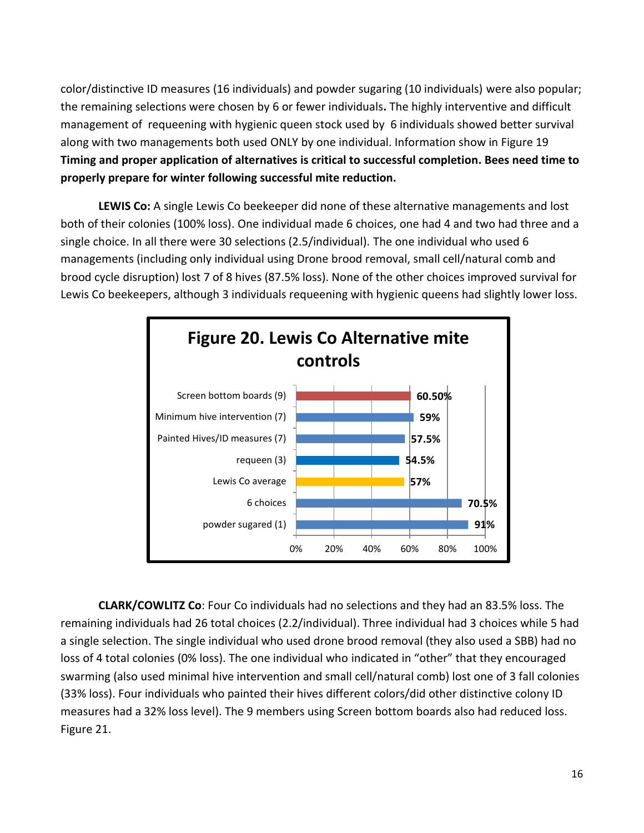color/distinctive ID measures (16 individuals) and powder sugaring (10 individuals) were also popular; the remaining selections were chosen by 6 or fewer individuals**.** The highly interventive and difficult management of requeening with hygienic queen stock used by 6 individuals showed better survival along with two managements both used ONLY by one individual. Information show in Figure 19 **Timing and proper application of alternatives is critical to successful completion. Bees need time to properly prepare for winter following successful mite reduction.**

**LEWIS Co:** A single Lewis Co beekeeper did none of these alternative managements and lost both of their colonies (100% loss). One individual made 6 choices, one had 4 and two had three and a single choice. In all there were 30 selections (2.5/individual). The one individual who used 6 managements (including only individual using Drone brood removal, small cell/natural comb and brood cycle disruption) lost 7 of 8 hives (87.5% loss). None of the other choices improved survival for Lewis Co beekeepers, although 3 individuals requeening with hygienic queens had slightly lower loss.



**CLARK/COWLITZ Co**: Four Co individuals had no selections and they had an 83.5% loss. The remaining individuals had 26 total choices (2.2/individual). Three individual had 3 choices while 5 had a single selection. The single individual who used drone brood removal (they also used a SBB) had no loss of 4 total colonies (0% loss). The one individual who indicated in "other" that they encouraged swarming (also used minimal hive intervention and small cell/natural comb) lost one of 3 fall colonies (33% loss). Four individuals who painted their hives different colors/did other distinctive colony ID measures had a 32% loss level). The 9 members using Screen bottom boards also had reduced loss. Figure 21.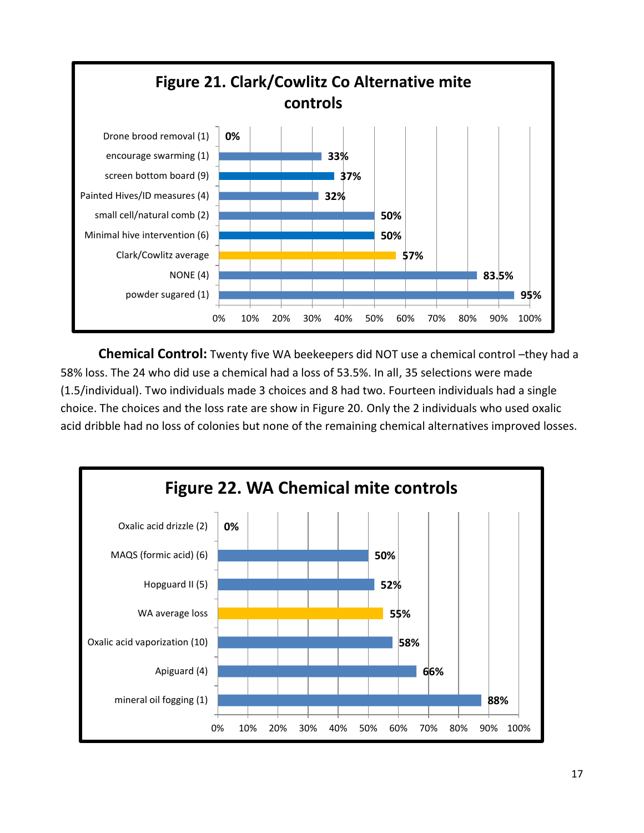

**Chemical Control:** Twenty five WA beekeepers did NOT use a chemical control –they had a 58% loss. The 24 who did use a chemical had a loss of 53.5%. In all, 35 selections were made (1.5/individual). Two individuals made 3 choices and 8 had two. Fourteen individuals had a single choice. The choices and the loss rate are show in Figure 20. Only the 2 individuals who used oxalic acid dribble had no loss of colonies but none of the remaining chemical alternatives improved losses.

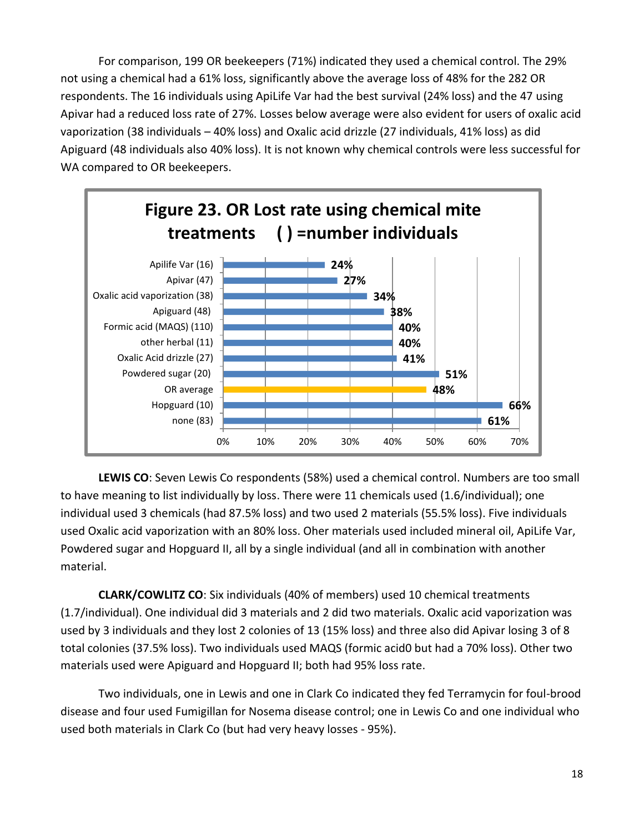For comparison, 199 OR beekeepers (71%) indicated they used a chemical control. The 29% not using a chemical had a 61% loss, significantly above the average loss of 48% for the 282 OR respondents. The 16 individuals using ApiLife Var had the best survival (24% loss) and the 47 using Apivar had a reduced loss rate of 27%. Losses below average were also evident for users of oxalic acid vaporization (38 individuals – 40% loss) and Oxalic acid drizzle (27 individuals, 41% loss) as did Apiguard (48 individuals also 40% loss). It is not known why chemical controls were less successful for WA compared to OR beekeepers.



**LEWIS CO**: Seven Lewis Co respondents (58%) used a chemical control. Numbers are too small to have meaning to list individually by loss. There were 11 chemicals used (1.6/individual); one individual used 3 chemicals (had 87.5% loss) and two used 2 materials (55.5% loss). Five individuals used Oxalic acid vaporization with an 80% loss. Oher materials used included mineral oil, ApiLife Var, Powdered sugar and Hopguard II, all by a single individual (and all in combination with another material.

**CLARK/COWLITZ CO**: Six individuals (40% of members) used 10 chemical treatments (1.7/individual). One individual did 3 materials and 2 did two materials. Oxalic acid vaporization was used by 3 individuals and they lost 2 colonies of 13 (15% loss) and three also did Apivar losing 3 of 8 total colonies (37.5% loss). Two individuals used MAQS (formic acid0 but had a 70% loss). Other two materials used were Apiguard and Hopguard II; both had 95% loss rate.

Two individuals, one in Lewis and one in Clark Co indicated they fed Terramycin for foul-brood disease and four used Fumigillan for Nosema disease control; one in Lewis Co and one individual who used both materials in Clark Co (but had very heavy losses - 95%).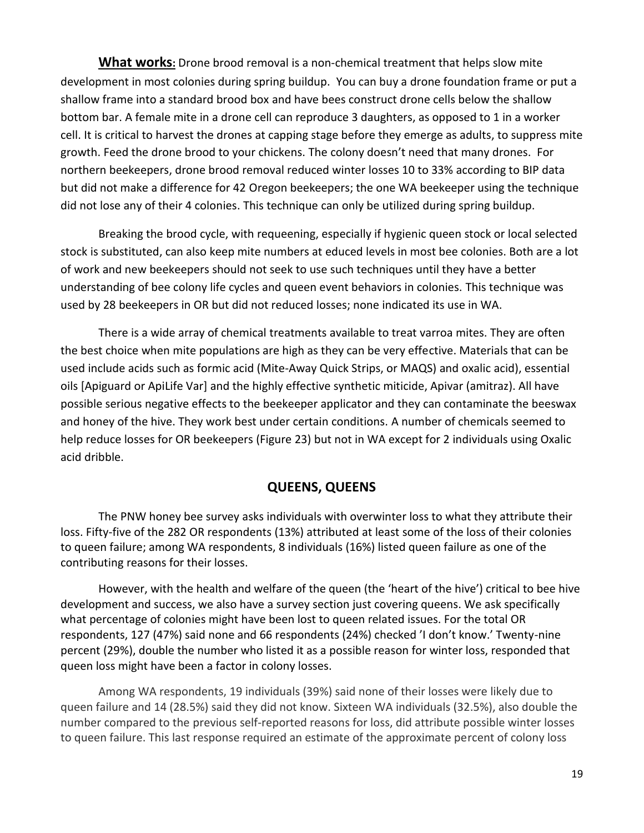**What works:** Drone brood removal is a non-chemical treatment that helps slow mite development in most colonies during spring buildup. You can buy a drone foundation frame or put a shallow frame into a standard brood box and have bees construct drone cells below the shallow bottom bar. A female mite in a drone cell can reproduce 3 daughters, as opposed to 1 in a worker cell. It is critical to harvest the drones at capping stage before they emerge as adults, to suppress mite growth. Feed the drone brood to your chickens. The colony doesn't need that many drones. For northern beekeepers, drone brood removal reduced winter losses 10 to 33% according to BIP data but did not make a difference for 42 Oregon beekeepers; the one WA beekeeper using the technique did not lose any of their 4 colonies. This technique can only be utilized during spring buildup.

Breaking the brood cycle, with requeening, especially if hygienic queen stock or local selected stock is substituted, can also keep mite numbers at educed levels in most bee colonies. Both are a lot of work and new beekeepers should not seek to use such techniques until they have a better understanding of bee colony life cycles and queen event behaviors in colonies. This technique was used by 28 beekeepers in OR but did not reduced losses; none indicated its use in WA.

There is a wide array of chemical treatments available to treat varroa mites. They are often the best choice when mite populations are high as they can be very effective. Materials that can be used include acids such as formic acid (Mite-Away Quick Strips, or MAQS) and oxalic acid), essential oils [Apiguard or ApiLife Var] and the highly effective synthetic miticide, Apivar (amitraz). All have possible serious negative effects to the beekeeper applicator and they can contaminate the beeswax and honey of the hive. They work best under certain conditions. A number of chemicals seemed to help reduce losses for OR beekeepers (Figure 23) but not in WA except for 2 individuals using Oxalic acid dribble.

### **QUEENS, QUEENS**

The PNW honey bee survey asks individuals with overwinter loss to what they attribute their loss. Fifty-five of the 282 OR respondents (13%) attributed at least some of the loss of their colonies to queen failure; among WA respondents, 8 individuals (16%) listed queen failure as one of the contributing reasons for their losses.

However, with the health and welfare of the queen (the 'heart of the hive') critical to bee hive development and success, we also have a survey section just covering queens. We ask specifically what percentage of colonies might have been lost to queen related issues. For the total OR respondents, 127 (47%) said none and 66 respondents (24%) checked 'I don't know.' Twenty-nine percent (29%), double the number who listed it as a possible reason for winter loss, responded that queen loss might have been a factor in colony losses.

Among WA respondents, 19 individuals (39%) said none of their losses were likely due to queen failure and 14 (28.5%) said they did not know. Sixteen WA individuals (32.5%), also double the number compared to the previous self-reported reasons for loss, did attribute possible winter losses to queen failure. This last response required an estimate of the approximate percent of colony loss